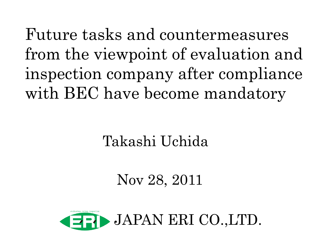Future tasks and countermeasures from the viewpoint of evaluation and inspection company after compliance with BEC have become mandatory

# Takashi Uchida

# Nov 28, 2011

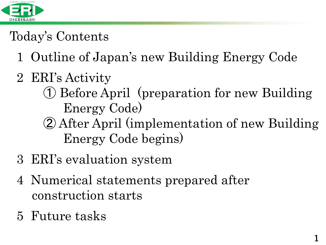

## Today's Contents

- 1 Outline of Japan's new Building Energy Code
- 2 ERI's Activity
	- ① Before April (preparation for new Building Energy Code)
	- ② After April (implementation of new Building Energy Code begins)
- 3 ERI's evaluation system
- 4 Numerical statements prepared after construction starts
- 5 Future tasks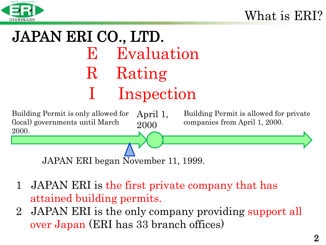

# JAPAN ERI CO., LTD. E Evaluation R Rating Inspection



- 1 JAPAN ERI is the first private company that has attained building permits.
- 2 JAPAN ERI is the only company providing support all over Japan (ERI has 33 branch offices)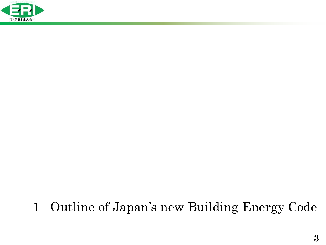

### 1 Outline of Japan's new Building Energy Code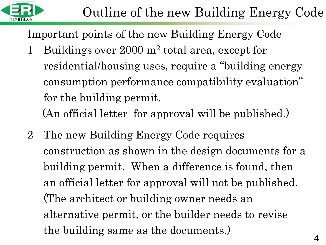

Important points of the new Building Energy Code

- 1 Buildings over 2000 m<sup>2</sup> total area, except for residential/housing uses, require a "building energy consumption performance compatibility evaluation" for the building permit. (An official letter for approval will be published.)
- 2 The new Building Energy Code requires construction as shown in the design documents for a building permit. When a difference is found, then an official letter for approval will not be published. (The architect or building owner needs an alternative permit, or the builder needs to revise the building same as the documents.)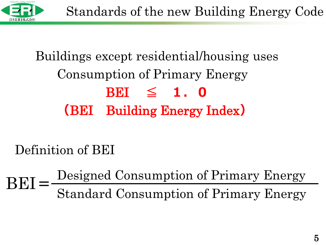

# Buildings except residential/housing uses Consumption of Primary Energy BEI  $\leq$  1.0 (BEI Building Energy Index)

Definition of BEI

Standard Consumption of Primary Energy  $BET = \frac{Designed \ Consortium\ of \ Primary \ Energy}{CUT \ 10}$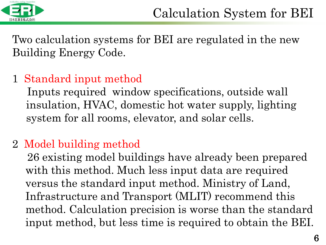

Two calculation systems for BEI are regulated in the new Building Energy Code.

#### 1 Standard input method

 Inputs required window specifications, outside wall insulation, HVAC, domestic hot water supply, lighting system for all rooms, elevator, and solar cells.

#### 2 Model building method

 26 existing model buildings have already been prepared with this method. Much less input data are required versus the standard input method. Ministry of Land, Infrastructure and Transport (MLIT) recommend this method. Calculation precision is worse than the standard input method, but less time is required to obtain the BEI.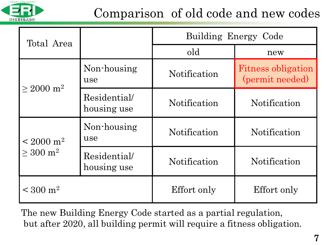

### Comparison of old code and new codes

| Total Area                                  |                             | Building Energy Code |                                              |
|---------------------------------------------|-----------------------------|----------------------|----------------------------------------------|
|                                             |                             | old                  | new                                          |
| $\geq 2000$ m <sup>2</sup>                  | Non-housing<br>use          | <b>Notification</b>  | <b>Fitness obligation</b><br>(permit needed) |
|                                             | Residential/<br>housing use | Notification         | Notification                                 |
| $\rm < 2000~m^2$<br>$> 300 \; \mathrm{m}^2$ | Non-housing<br>use          | Notification         | Notification                                 |
|                                             | Residential/<br>housing use | Notification         | Notification                                 |
| $\rm < 300~m^2$                             |                             | Effort only          | Effort only                                  |

The new Building Energy Code started as a partial regulation, but after 2020, all building permit will require a fitness obligation.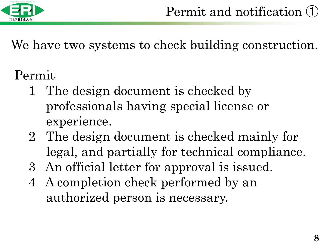

We have two systems to check building construction.

# Permit

- 1 The design document is checked by professionals having special license or experience.
- 2 The design document is checked mainly for legal, and partially for technical compliance.
- 3 An official letter for approval is issued.
- 4 A completion check performed by an authorized person is necessary.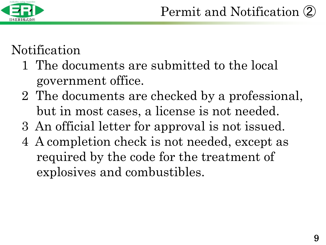

### Notification

- 1 The documents are submitted to the local government office.
- 2 The documents are checked by a professional, but in most cases, a license is not needed.
- 3 An official letter for approval is not issued.
- 4 A completion check is not needed, except as required by the code for the treatment of explosives and combustibles.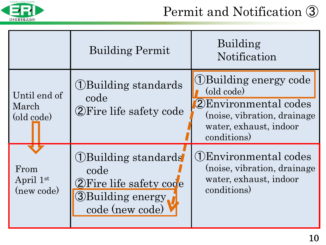

|                                     | <b>Building Permit</b>                                                                                    | Building<br>Notification                                                                                                                         |
|-------------------------------------|-----------------------------------------------------------------------------------------------------------|--------------------------------------------------------------------------------------------------------------------------------------------------|
| Until end of<br>March<br>(old code) | <b>(1) Building standards</b><br>code<br>2 Fire life safety code                                          | <b>(1)</b> Building energy code<br>(old code)<br>(2) Environmental codes<br>(noise, vibration, drainage<br>water, exhaust, indoor<br>conditions) |
| From<br>April 1st<br>(new code)     | (1) Building standards<br>code<br>2 Fire life safety code<br><b>3</b> Building energy.<br>code (new code) | (1) Environmental codes<br>(noise, vibration, drainage<br>water, exhaust, indoor<br>conditions)                                                  |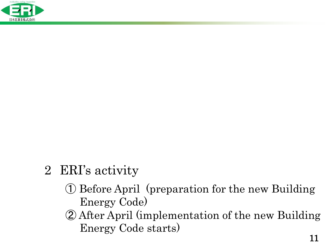

### 2 ERI's activity

- ① Before April (preparation for the new Building Energy Code)
- ② After April (implementation of the new Building Energy Code starts)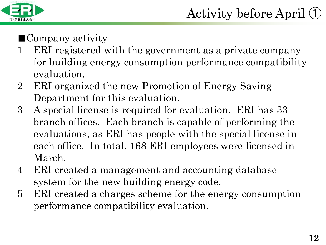

#### ■Company activity

- 1 ERI registered with the government as a private company for building energy consumption performance compatibility evaluation.
- 2 ERI organized the new Promotion of Energy Saving Department for this evaluation.
- 3 A special license is required for evaluation. ERI has 33 branch offices. Each branch is capable of performing the evaluations, as ERI has people with the special license in each office. In total, 168 ERI employees were licensed in March.
- 4 ERI created a management and accounting database system for the new building energy code.
- 5 ERI created a charges scheme for the energy consumption performance compatibility evaluation.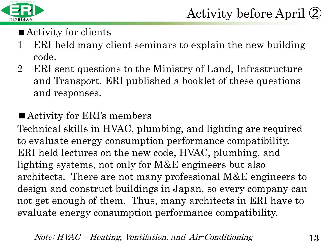

- Activity for clients
- 1 ERI held many client seminars to explain the new building code.
- 2 ERI sent questions to the Ministry of Land, Infrastructure and Transport. ERI published a booklet of these questions and responses.

#### ■ Activity for ERI's members

Technical skills in HVAC, plumbing, and lighting are required to evaluate energy consumption performance compatibility. ERI held lectures on the new code, HVAC, plumbing, and lighting systems, not only for M&E engineers but also architects. There are not many professional M&E engineers to design and construct buildings in Japan, so every company can not get enough of them. Thus, many architects in ERI have to evaluate energy consumption performance compatibility.

 $Note: HVAC = Heating, Ventilation, and Air-Conditioning$  13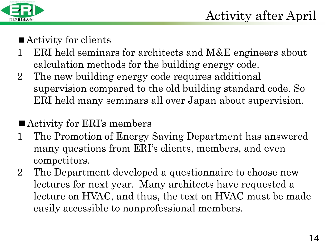

- Activity for clients
- 1 ERI held seminars for architects and M&E engineers about calculation methods for the building energy code.
- 2 The new building energy code requires additional supervision compared to the old building standard code. So ERI held many seminars all over Japan about supervision.
- Activity for ERI's members
- 1 The Promotion of Energy Saving Department has answered many questions from ERI's clients, members, and even competitors.
- 2 The Department developed a questionnaire to choose new lectures for next year. Many architects have requested a lecture on HVAC, and thus, the text on HVAC must be made easily accessible to nonprofessional members.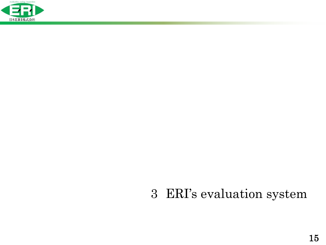

### ERI's evaluation system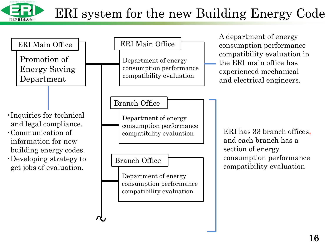

### ERI system for the new Building Energy Code

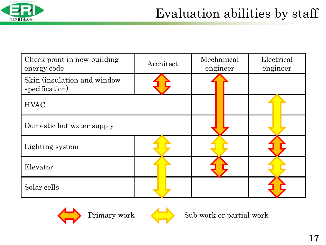

| Check point in new building<br>energy code    | Architect | Mechanical<br>engineer | Electrical<br>engineer |
|-----------------------------------------------|-----------|------------------------|------------------------|
| Skin (insulation and window<br>specification) |           |                        |                        |
| <b>HVAC</b>                                   |           |                        |                        |
| Domestic hot water supply                     |           |                        |                        |
| Lighting system                               |           |                        |                        |
| Elevator                                      |           |                        |                        |
| Solar cells                                   |           |                        |                        |



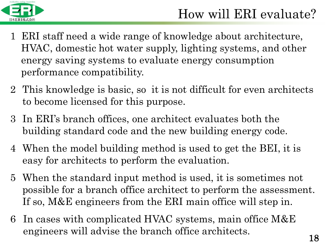

- 1 ERI staff need a wide range of knowledge about architecture, HVAC, domestic hot water supply, lighting systems, and other energy saving systems to evaluate energy consumption performance compatibility.
- 2 This knowledge is basic, so it is not difficult for even architects to become licensed for this purpose.
- 3 In ERI's branch offices, one architect evaluates both the building standard code and the new building energy code.
- 4 When the model building method is used to get the BEI, it is easy for architects to perform the evaluation.
- 5 When the standard input method is used, it is sometimes not possible for a branch office architect to perform the assessment. If so, M&E engineers from the ERI main office will step in.
- 6 In cases with complicated HVAC systems, main office M&E engineers will advise the branch office architects.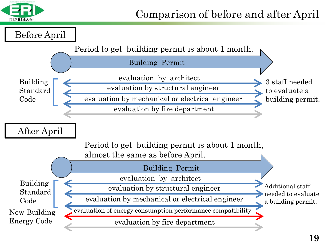

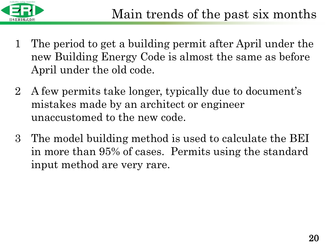

- 1 The period to get a building permit after April under the new Building Energy Code is almost the same as before April under the old code.
- 2 A few permits take longer, typically due to document's mistakes made by an architect or engineer unaccustomed to the new code.
- 3 The model building method is used to calculate the BEI in more than 95% of cases. Permits using the standard input method are very rare.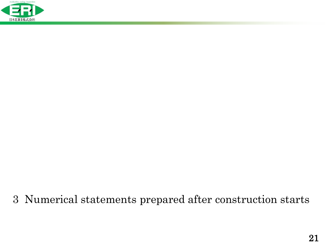

#### 3 Numerical statements prepared after construction starts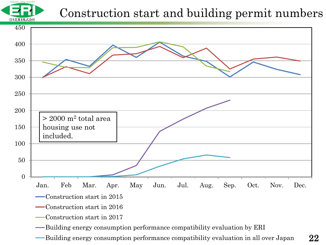

#### Construction start and building permit numbers



- Building energy consumption performance compatibility evaluation by ERI
- Building energy consumption performance compatibility evaluation in all over Japan

22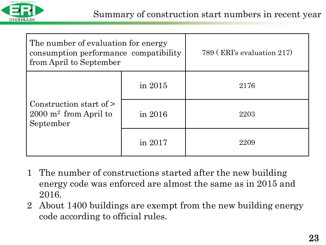

| The number of evaluation for energy<br>consumption performance compatibility<br>from April to September |           | 789 (ERI's evaluation 217) |
|---------------------------------------------------------------------------------------------------------|-----------|----------------------------|
|                                                                                                         | in $2015$ | 2176                       |
| Construction start of $\geq$<br>$2000 \text{ m}^2$ from April to<br>September                           | in 2016   | 2203                       |
|                                                                                                         | in 2017   | 2209                       |

- 1 The number of constructions started after the new building energy code was enforced are almost the same as in 2015 and 2016.
- 2 About 1400 buildings are exempt from the new building energy code according to official rules.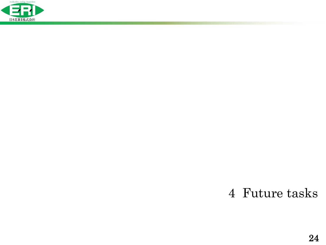

#### 4 Future tasks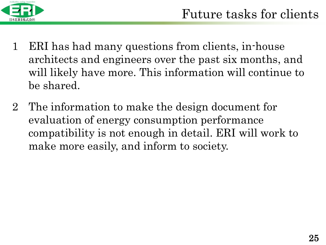

- 1 ERI has had many questions from clients, in-house architects and engineers over the past six months, and will likely have more. This information will continue to be shared.
- 2 The information to make the design document for evaluation of energy consumption performance compatibility is not enough in detail. ERI will work to make more easily, and inform to society.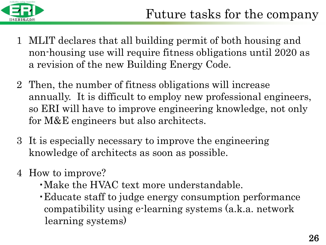

- 1 MLIT declares that all building permit of both housing and non-housing use will require fitness obligations until 2020 as a revision of the new Building Energy Code.
- 2 Then, the number of fitness obligations will increase annually. It is difficult to employ new professional engineers, so ERI will have to improve engineering knowledge, not only for M&E engineers but also architects.
- 3 It is especially necessary to improve the engineering knowledge of architects as soon as possible.
- 4 How to improve?
	- ・Make the HVAC text more understandable.
	- ・Educate staff to judge energy consumption performance compatibility using e-learning systems (a.k.a. network learning systems)